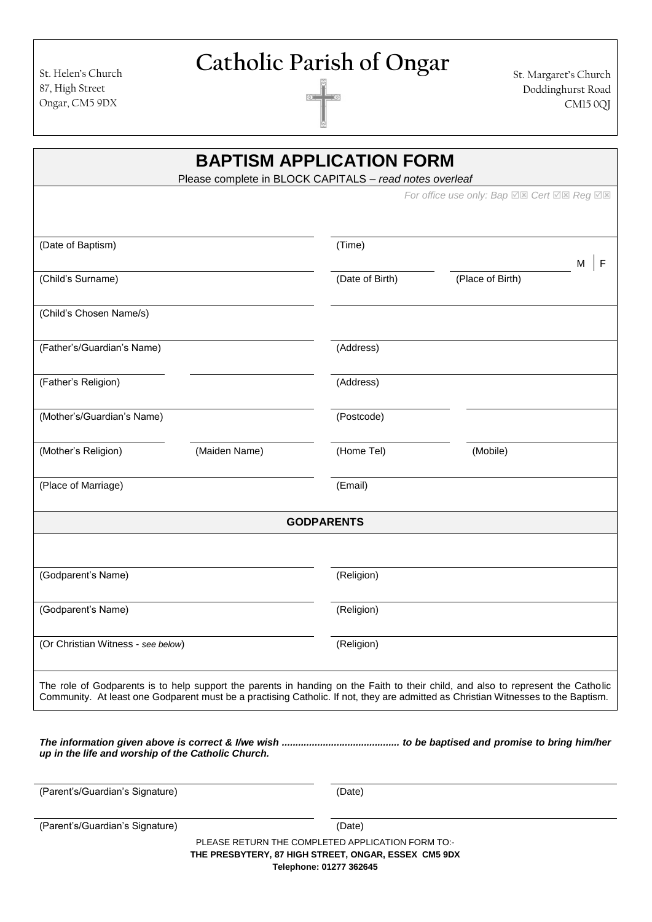Catholic Parish of Ongar<br>
St. Margaret's Church<br>
Doddinghurst Road

Doddinghurst Road CM15 0QJ

| <b>BAPTISM APPLICATION FORM</b><br>Please complete in BLOCK CAPITALS - read notes overleaf                                                                                                                                                                            |                                                   |                  |   |
|-----------------------------------------------------------------------------------------------------------------------------------------------------------------------------------------------------------------------------------------------------------------------|---------------------------------------------------|------------------|---|
|                                                                                                                                                                                                                                                                       | For office use only: Bap <b>Ø⊠</b> Cert Ø⊠ Reg Ø⊠ |                  |   |
|                                                                                                                                                                                                                                                                       |                                                   |                  |   |
| (Date of Baptism)                                                                                                                                                                                                                                                     | (Time)                                            | M                | F |
| (Child's Surname)                                                                                                                                                                                                                                                     | (Date of Birth)                                   | (Place of Birth) |   |
| (Child's Chosen Name/s)                                                                                                                                                                                                                                               |                                                   |                  |   |
| (Father's/Guardian's Name)                                                                                                                                                                                                                                            | (Address)                                         |                  |   |
| (Father's Religion)                                                                                                                                                                                                                                                   | (Address)                                         |                  |   |
| (Mother's/Guardian's Name)                                                                                                                                                                                                                                            | (Postcode)                                        |                  |   |
| (Maiden Name)<br>(Mother's Religion)                                                                                                                                                                                                                                  | (Home Tel)                                        | (Mobile)         |   |
| (Place of Marriage)                                                                                                                                                                                                                                                   | (Email)                                           |                  |   |
| <b>GODPARENTS</b>                                                                                                                                                                                                                                                     |                                                   |                  |   |
|                                                                                                                                                                                                                                                                       |                                                   |                  |   |
| (Godparent's Name)                                                                                                                                                                                                                                                    | (Religion)                                        |                  |   |
| (Godparent's Name)                                                                                                                                                                                                                                                    | (Religion)                                        |                  |   |
| (Or Christian Witness - see below)                                                                                                                                                                                                                                    | (Religion)                                        |                  |   |
| The role of Godparents is to help support the parents in handing on the Faith to their child, and also to represent the Catholic<br>Community. At least one Godparent must be a practising Catholic. If not, they are admitted as Christian Witnesses to the Baptism. |                                                   |                  |   |
| up in the life and worship of the Catholic Church.                                                                                                                                                                                                                    |                                                   |                  |   |
| (Parent's/Guardian's Signature)                                                                                                                                                                                                                                       | (Date)                                            |                  |   |
| (Parent's/Guardian's Signature)                                                                                                                                                                                                                                       | (Date)                                            |                  |   |
| PLEASE RETURN THE COMPLETED APPLICATION FORM TO:-<br>THE PRESBYTERY, 87 HIGH STREET, ONGAR, ESSEX CM5 9DX                                                                                                                                                             | Telephone: 01277 362645                           |                  |   |